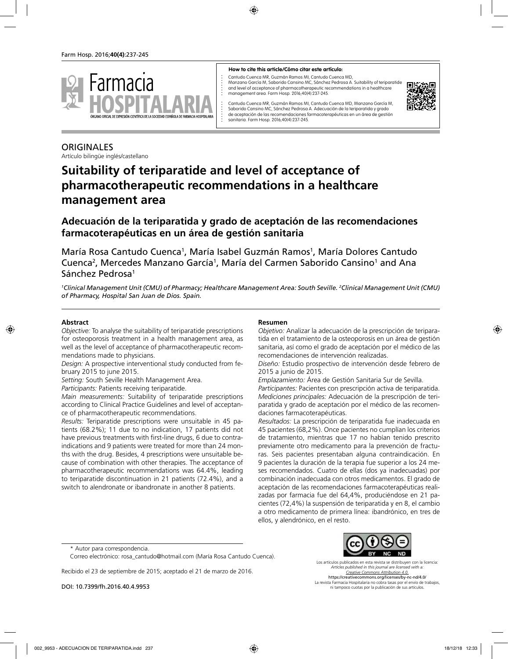

#### **How to cite this article/Cómo citar este artículo:**

Cantudo Cuenca MR, Guzmán Ramos MI, Cantudo Cuenca MD,

Manzano García M, Saborido Cansino MC, Sánchez Pedrosa A. Suitability of teriparatide and level of acceptance of pharmacotherapeutic recommendations in a healthcare management area. Farm Hosp. 2016;40(4):237-245.



Cantudo Cuenca MR, Guzmán Ramos MI, Cantudo Cuenca MD, Manzano García M, Saborido Cansino MC, Sánchez Pedrosa A. Adecuación de la teriparatida y grado de aceptación de las recomendaciones farmacoterapéuticas en un área de gestión sanitaria. Farm Hosp. 2016;40(4):237-245.

## **ORIGINALES** Artículo bilingüe inglés/castellano

# **Suitability of teriparatide and level of acceptance of pharmacotherapeutic recommendations in a healthcare management area**

## **Adecuación de la teriparatida y grado de aceptación de las recomendaciones farmacoterapéuticas en un área de gestión sanitaria**

María Rosa Cantudo Cuenca<sup>1</sup>, María Isabel Guzmán Ramos<sup>1</sup>, María Dolores Cantudo Cuenca<sup>2</sup>, Mercedes Manzano García<sup>1</sup>, María del Carmen Saborido Cansino<sup>1</sup> and Ana Sánchez Pedrosa1

*1 Clinical Management Unit (CMU) of Pharmacy; Healthcare Management Area: South Seville. 2 Clinical Management Unit (CMU) of Pharmacy, Hospital San Juan de Dios. Spain.*

#### **Abstract**

*Objective:* To analyse the suitability of teriparatide prescriptions for osteoporosis treatment in a health management area, as well as the level of acceptance of pharmacotherapeutic recommendations made to physicians.

*Design:* A prospective interventional study conducted from february 2015 to june 2015.

*Setting:* South Seville Health Management Area.

*Participants:* Patients receiving teriparatide.

*Main measurements:* Suitability of teriparatide prescriptions according to Clinical Practice Guidelines and level of acceptance of pharmacotherapeutic recommendations.

*Results:* Teriparatide prescriptions were unsuitable in 45 patients (68.2%); 11 due to no indication, 17 patients did not have previous treatments with first-line drugs, 6 due to contraindications and 9 patients were treated for more than 24 months with the drug. Besides, 4 prescriptions were unsuitable because of combination with other therapies. The acceptance of pharmacotherapeutic recommendations was 64.4%, leading to teriparatide discontinuation in 21 patients (72.4%), and a switch to alendronate or ibandronate in another 8 patients.

#### **Resumen**

*Objetivo:* Analizar la adecuación de la prescripción de teriparatida en el tratamiento de la osteoporosis en un área de gestión sanitaria, así como el grado de aceptación por el médico de las recomendaciones de intervención realizadas.

*Diseño:* Estudio prospectivo de intervención desde febrero de 2015 a junio de 2015.

*Emplazamiento:* Área de Gestión Sanitaria Sur de Sevilla.

*Participantes:* Pacientes con prescripción activa de teriparatida. *Mediciones principales:* Adecuación de la prescripción de teriparatida y grado de aceptación por el médico de las recomendaciones farmacoterapéuticas.

*Resultados:* La prescripción de teriparatida fue inadecuada en 45 pacientes (68,2%). Once pacientes no cumplían los criterios de tratamiento, mientras que 17 no habían tenido prescrito previamente otro medicamento para la prevención de fracturas. Seis pacientes presentaban alguna contraindicación. En 9 pacientes la duración de la terapia fue superior a los 24 meses recomendados. Cuatro de ellas (dos ya inadecuadas) por combinación inadecuada con otros medicamentos. El grado de aceptación de las recomendaciones farmacoterapéuticas realizadas por farmacia fue del 64,4%, produciéndose en 21 pacientes (72,4%) la suspensión de teriparatida y en 8, el cambio a otro medicamento de primera línea: ibandrónico, en tres de ellos, y alendrónico, en el resto.

\* Autor para correspondencia.

Correo electrónico: rosa\_cantudo@hotmail.com (María Rosa Cantudo Cuenca).

Recibido el 23 de septiembre de 2015; aceptado el 21 de marzo de 2016.

DOI: 10.7399/fh.2016.40.4.9953

Los artículos publicados en esta revista se distribuyen con la licencia: *Articles published in this journal are licensed with a: Creative Commons Attribution 4.0.* https://creativecommons.org/licenses/by-nc-nd/4.0/ La revista Farmacia Hospitalaria no cobra tasas por el envío de trabajos,

ni tampoco cuotas por la publicación de sus artículos.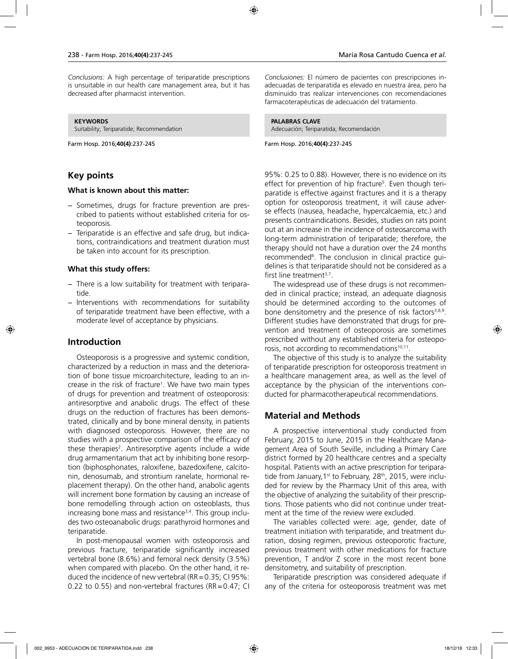*Conclusions:* A high percentage of teriparatide prescriptions is unsuitable in our health care management area, but it has decreased after pharmacist intervention.

#### **KEYWORDS**

Suitability; Teriparatide; Recommendation

Farm Hosp. 2016;**40(4)**:237-245

## **Key points**

#### **What is known about this matter:**

- − Sometimes, drugs for fracture prevention are prescribed to patients without established criteria for osteoporosis.
- − Teriparatide is an effective and safe drug, but indications, contraindications and treatment duration must be taken into account for its prescription.

#### **What this study offers:**

- − There is a low suitability for treatment with teriparatide.
- − Interventions with recommendations for suitability of teriparatide treatment have been effective, with a moderate level of acceptance by physicians.

## **Introduction**

Osteoporosis is a progressive and systemic condition, characterized by a reduction in mass and the deterioration of bone tissue microarchitecture, leading to an increase in the risk of fracture<sup>1</sup>. We have two main types of drugs for prevention and treatment of osteoporosis: antiresorptive and anabolic drugs. The effect of these drugs on the reduction of fractures has been demonstrated, clinically and by bone mineral density, in patients with diagnosed osteoporosis. However, there are no studies with a prospective comparison of the efficacy of these therapies<sup>2</sup>. Antiresorptive agents include a wide drug armamentarium that act by inhibiting bone resorption (biphosphonates, raloxifene, bazedoxifene, calcitonin, denosumab, and strontium ranelate, hormonal replacement therapy). On the other hand, anabolic agents will increment bone formation by causing an increase of bone remodelling through action on osteoblasts, thus increasing bone mass and resistance<sup>3,4</sup>. This group includes two osteoanabolic drugs: parathyroid hormones and teriparatide.

In post-menopausal women with osteoporosis and previous fracture, teriparatide significantly increased vertebral bone (8.6%) and femoral neck density (3.5%) when compared with placebo. On the other hand, it reduced the incidence of new vertebral (RR =  $0.35$ ; CI 95%: 0.22 to 0.55) and non-vertebral fractures ( $RR = 0.47$ ; CI *Conclusiones:* El número de pacientes con prescripciones inadecuadas de teriparatida es elevado en nuestra área, pero ha disminuido tras realizar intervenciones con recomendaciones farmacoterapéuticas de adecuación del tratamiento.

**PALABRAS CLAVE** Adecuación; Teriparatida; Recomendación

Farm Hosp. 2016;**40(4)**:237-245

95%: 0.25 to 0.88). However, there is no evidence on its effect for prevention of hip fracture<sup>5</sup>. Even though teriparatide is effective against fractures and it is a therapy option for osteoporosis treatment, it will cause adverse effects (nausea, headache, hypercalcaemia, etc.) and presents contraindications. Besides, studies on rats point out at an increase in the incidence of osteosarcoma with long-term administration of teriparatide; therefore, the therapy should not have a duration over the 24 months recommended<sup>6</sup>. The conclusion in clinical practice guidelines is that teriparatide should not be considered as a first line treatment $3,7$ .

The widespread use of these drugs is not recommended in clinical practice; instead, an adequate diagnosis should be determined according to the outcomes of bone densitometry and the presence of risk factors<sup>3,8,9</sup>. Different studies have demonstrated that drugs for prevention and treatment of osteoporosis are sometimes prescribed without any established criteria for osteoporosis, not according to recommendations<sup>10,11</sup>.

The objective of this study is to analyze the suitability of teriparatide prescription for osteoporosis treatment in a healthcare management area, as well as the level of acceptance by the physician of the interventions conducted for pharmacotherapeutical recommendations.

## **Material and Methods**

A prospective interventional study conducted from February, 2015 to June, 2015 in the Healthcare Management Area of South Seville, including a Primary Care district formed by 20 healthcare centres and a specialty hospital. Patients with an active prescription for teriparatide from January, 1<sup>st</sup> to February, 28<sup>th</sup>, 2015, were included for review by the Pharmacy Unit of this area, with the objective of analyzing the suitability of their prescriptions. Those patients who did not continue under treatment at the time of the review were excluded.

The variables collected were: age, gender, date of treatment initiation with teriparatide, and treatment duration, dosing regimen, previous osteoporotic fracture, previous treatment with other medications for fracture prevention, T and/or Z score in the most recent bone densitometry, and suitability of prescription.

Teriparatide prescription was considered adequate if any of the criteria for osteoporosis treatment was met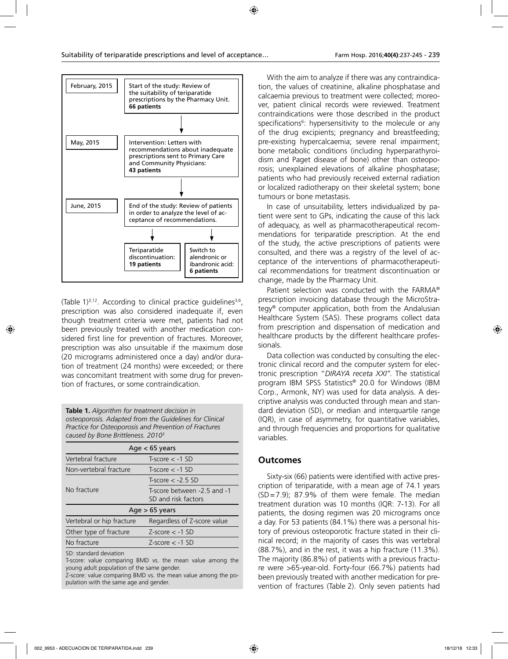

(Table 1) $^{3,12}$ . According to clinical practice guidelines $^{3,6}$ , prescription was also considered inadequate if, even though treatment criteria were met, patients had not been previously treated with another medication considered first line for prevention of fractures. Moreover, prescription was also unsuitable if the maximum dose (20 micrograms administered once a day) and/or duration of treatment (24 months) were exceeded; or there was concomitant treatment with some drug for prevention of fractures, or some contraindication.

**Table 1.** *Algorithm for treatment decision in osteoporosis. Adapted from the Guidelines for Clinical Practice for Osteoporosis and Prevention of Fractures caused by Bone Brittleness. 20103*

| Age $<$ 65 years          |                                                    |  |
|---------------------------|----------------------------------------------------|--|
| Vertebral fracture        | $T-score < -1$ SD                                  |  |
| Non-vertebral fracture    | $T-score < -1$ SD                                  |  |
|                           | $T-score < -2.5 SD$                                |  |
| No fracture               | T-score between -2.5 and -1<br>SD and risk factors |  |
| $Age > 65$ years          |                                                    |  |
| Vertebral or hip fracture | Regardless of Z-score value                        |  |
| Other type of fracture    | $Z-score < -1$ SD                                  |  |
| No fracture               | $Z$ -score $<$ -1 SD                               |  |
| $CD$ , $standard$         |                                                    |  |

SD: standard deviation

T-score: value comparing BMD vs. the mean value among the young adult population of the same gender.

Z-score: value comparing BMD vs. the mean value among the population with the same age and gender.

With the aim to analyze if there was any contraindication, the values of creatinine, alkaline phosphatase and calcaemia previous to treatment were collected; moreover, patient clinical records were reviewed. Treatment contraindications were those described in the product specifications6 : hypersensitivity to the molecule or any of the drug excipients; pregnancy and breastfeeding; pre-existing hypercalcaemia; severe renal impairment; bone metabolic conditions (including hyperparathyroidism and Paget disease of bone) other than osteoporosis; unexplained elevations of alkaline phosphatase; patients who had previously received external radiation or localized radiotherapy on their skeletal system; bone tumours or bone metastasis.

In case of unsuitability, letters individualized by patient were sent to GPs, indicating the cause of this lack of adequacy, as well as pharmacotherapeutical recommendations for teriparatide prescription. At the end of the study, the active prescriptions of patients were consulted, and there was a registry of the level of acceptance of the interventions of pharmacotherapeutical recommendations for treatment discontinuation or change, made by the Pharmacy Unit.

Patient selection was conducted with the FARMA® prescription invoicing database through the MicroStrategy® computer application, both from the Andalusian Healthcare System (SAS). These programs collect data from prescription and dispensation of medication and healthcare products by the different healthcare professionals.

Data collection was conducted by consulting the electronic clinical record and the computer system for electronic prescription "*DIRAYA receta XXI".* The statistical program IBM SPSS Statistics® 20.0 for Windows (IBM Corp., Armonk, NY) was used for data analysis. A descriptive analysis was conducted through mean and standard deviation (SD), or median and interquartile range (IQR), in case of asymmetry, for quantitative variables, and through frequencies and proportions for qualitative variables.

## **Outcomes**

Sixty-six (66) patients were identified with active prescription of teriparatide, with a mean age of 74.1 years (SD=7.9); 87.9% of them were female. The median treatment duration was 10 months (IQR: 7-13). For all patients, the dosing regimen was 20 micrograms once a day. For 53 patients (84.1%) there was a personal history of previous osteoporotic fracture stated in their clinical record; in the majority of cases this was vertebral (88.7%), and in the rest, it was a hip fracture (11.3%). The majority (86.8%) of patients with a previous fracture were >65-year-old. Forty-four (66.7%) patients had been previously treated with another medication for prevention of fractures (Table 2). Only seven patients had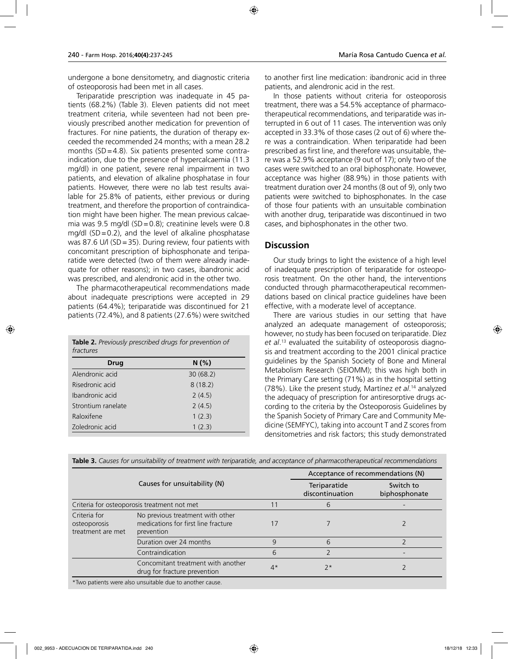undergone a bone densitometry, and diagnostic criteria of osteoporosis had been met in all cases.

Teriparatide prescription was inadequate in 45 patients (68.2%) (Table 3). Eleven patients did not meet treatment criteria, while seventeen had not been previously prescribed another medication for prevention of fractures. For nine patients, the duration of therapy exceeded the recommended 24 months; with a mean 28.2 months  $(SD=4.8)$ . Six patients presented some contraindication, due to the presence of hypercalcaemia (11.3 mg/dl) in one patient, severe renal impairment in two patients, and elevation of alkaline phosphatase in four patients. However, there were no lab test results available for 25.8% of patients, either previous or during treatment, and therefore the proportion of contraindication might have been higher. The mean previous calcaemia was 9.5 mg/dl (SD=0.8); creatinine levels were 0.8 mg/dl (SD=0.2), and the level of alkaline phosphatase was 87.6 U/l (SD=35). During review, four patients with concomitant prescription of biphosphonate and teriparatide were detected (two of them were already inadequate for other reasons); in two cases, ibandronic acid was prescribed, and alendronic acid in the other two.

The pharmacotherapeutical recommendations made about inadequate prescriptions were accepted in 29 patients (64.4%); teriparatide was discontinued for 21 patients (72.4%), and 8 patients (27.6%) were switched

| <b>Table 2.</b> Previously prescribed drugs for prevention of |
|---------------------------------------------------------------|
| fractures                                                     |

| <b>Drug</b>        | N(%)     |
|--------------------|----------|
| Alendronic acid    | 30(68.2) |
| Risedronic acid    | 8(18.2)  |
| Ibandronic acid    | 2(4.5)   |
| Strontium ranelate | 2(4.5)   |
| Raloxifene         | 1(2.3)   |
| Zoledronic acid    | 1(2.3)   |

to another first line medication: ibandronic acid in three patients, and alendronic acid in the rest.

In those patients without criteria for osteoporosis treatment, there was a 54.5% acceptance of pharmacotherapeutical recommendations, and teriparatide was interrupted in 6 out of 11 cases. The intervention was only accepted in 33.3% of those cases (2 out of 6) where there was a contraindication. When teriparatide had been prescribed as first line, and therefore was unsuitable, there was a 52.9% acceptance (9 out of 17); only two of the cases were switched to an oral biphosphonate. However, acceptance was higher (88.9%) in those patients with treatment duration over 24 months (8 out of 9), only two patients were switched to biphosphonates. In the case of those four patients with an unsuitable combination with another drug, teriparatide was discontinued in two cases, and biphosphonates in the other two.

### **Discussion**

Our study brings to light the existence of a high level of inadequate prescription of teriparatide for osteoporosis treatment. On the other hand, the interventions conducted through pharmacotherapeutical recommendations based on clinical practice guidelines have been effective, with a moderate level of acceptance.

There are various studies in our setting that have analyzed an adequate management of osteoporosis; however, no study has been focused on teriparatide. Díez *et al*. 13 evaluated the suitability of osteoporosis diagnosis and treatment according to the 2001 clinical practice guidelines by the Spanish Society of Bone and Mineral Metabolism Research (SEIOMM); this was high both in the Primary Care setting (71%) as in the hospital setting (78%). Like the present study, Martínez *et al*. 14 analyzed the adequacy of prescription for antiresorptive drugs according to the criteria by the Osteoporosis Guidelines by the Spanish Society of Primary Care and Community Medicine (SEMFYC), taking into account T and Z scores from densitometries and risk factors; this study demonstrated

|                                                   |                                                                                       |                                 | Acceptance of recommendations (N) |  |
|---------------------------------------------------|---------------------------------------------------------------------------------------|---------------------------------|-----------------------------------|--|
| Causes for unsuitability (N)                      |                                                                                       | Teriparatide<br>discontinuation | Switch to<br>biphosphonate        |  |
|                                                   | Criteria for osteoporosis treatment not met                                           |                                 | 6                                 |  |
| Criteria for<br>osteoporosis<br>treatment are met | No previous treatment with other<br>medications for first line fracture<br>prevention |                                 |                                   |  |
|                                                   | Duration over 24 months                                                               | 9                               | 6                                 |  |
|                                                   | Contraindication                                                                      | 6                               |                                   |  |
|                                                   | Concomitant treatment with another<br>drug for fracture prevention                    | $4*$                            | $7*$                              |  |
|                                                   | *Two patients were also unsuitable due to apother sause                               |                                 |                                   |  |

**Table 3.** *Causes for unsuitability of treatment with teriparatide, and acceptance of pharmacotherapeutical recommendations*

\*Two patients were also unsuitable due to another cause.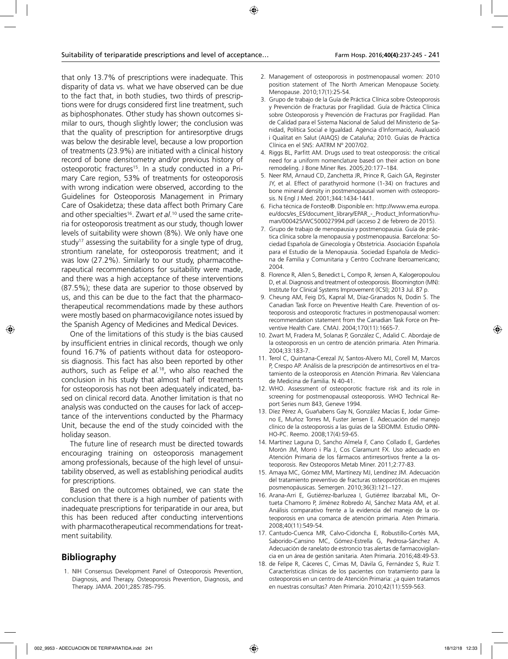that only 13.7% of prescriptions were inadequate. This disparity of data vs. what we have observed can be due to the fact that, in both studies, two thirds of prescriptions were for drugs considered first line treatment, such as biphosphonates. Other study has shown outcomes similar to ours, though slightly lower; the conclusion was that the quality of prescription for antiresorptive drugs was below the desirable level, because a low proportion of treatments (23.9%) are initiated with a clinical history record of bone densitometry and/or previous history of osteoporotic fractures<sup>15</sup>. In a study conducted in a Primary Care region, 53% of treatments for osteoporosis with wrong indication were observed, according to the Guidelines for Osteoporosis Management in Primary Care of Osakidetza; these data affect both Primary Care and other specialties16. Zwart *et al*. 10 used the same criteria for osteoporosis treatment as our study, though lower levels of suitability were shown (8%). We only have one study<sup>17</sup> assessing the suitability for a single type of drug, strontium ranelate, for osteoporosis treatment; and it was low (27.2%). Similarly to our study, pharmacotherapeutical recommendations for suitability were made, and there was a high acceptance of these interventions (87.5%); these data are superior to those observed by us, and this can be due to the fact that the pharmacotherapeutical recommendations made by these authors were mostly based on pharmacovigilance notes issued by the Spanish Agency of Medicines and Medical Devices.

One of the limitations of this study is the bias caused by insufficient entries in clinical records, though we only found 16.7% of patients without data for osteoporosis diagnosis. This fact has also been reported by other authors, such as Felipe *et al.*18, who also reached the conclusion in his study that almost half of treatments for osteoporosis has not been adequately indicated, based on clinical record data. Another limitation is that no analysis was conducted on the causes for lack of acceptance of the interventions conducted by the Pharmacy Unit, because the end of the study coincided with the holiday season.

The future line of research must be directed towards encouraging training on osteoporosis management among professionals, because of the high level of unsuitability observed, as well as establishing periodical audits for prescriptions.

Based on the outcomes obtained, we can state the conclusion that there is a high number of patients with inadequate prescriptions for teriparatide in our area, but this has been reduced after conducting interventions with pharmacotherapeutical recommendations for treatment suitability.

## **Bibliography**

1. NIH Consensus Development Panel of Osteoporosis Prevention, Diagnosis, and Therapy. Osteoporosis Prevention, Diagnosis, and Therapy. JAMA. 2001;285:785-795.

- 2. Management of osteoporosis in postmenopausal women: 2010 position statement of The North American Menopause Society. Menopause. 2010;17(1):25-54.
- 3. Grupo de trabajo de la Guía de Práctica Clínica sobre Osteoporosis y Prevención de Fracturas por Fragilidad. Guía de Práctica Clínica sobre Osteoporosis y Prevención de Fracturas por Fragilidad. Plan de Calidad para el Sistema Nacional de Salud del Ministerio de Sanidad, Política Social e Igualdad. Agència d´Informació, Avaluació i Qualitat en Salut (AIAQS) de Cataluña; 2010. Guías de Práctica Clínica en el SNS: AATRM Nº 2007/02.
- 4. Riggs BL, Parfitt AM. Drugs used to treat osteoporosis: the critical need for a uniform nomenclature based on their action on bone remodeling. J Bone Miner Res. 2005;20:177–184.
- 5. Neer RM, Arnaud CD, Zanchetta JR, Prince R, Gaich GA, Reginster JY, et al. Effect of parathyroid hormone (1-34) on fractures and bone mineral density in postmenopausal women with osteoporosis. N Engl J Med. 2001;344:1434-1441.
- 6. Ficha técnica de Forsteo®. Disponible en: http://www.ema.europa. eu/docs/es\_ES/document\_library/EPAR\_-\_Product\_Information/human/000425/WC500027994.pdf (acceso 2 de febrero de 2015).
- 7. Grupo de trabajo de menopausia y postmenopausia. Guía de práctica clínica sobre la menopausia y postmenopausia. Barcelona: Sociedad Española de Ginecología y Obstetricia. Asociación Española para el Estudio de la Menopausia. Sociedad Española de Medicina de Familia y Comunitaria y Centro Cochrane Iberoamericano; 2004.
- 8. Florence R, Allen S, Benedict L, Compo R, Jensen A, Kalogeropoulou D, et al. Diagnosis and treatment of osteoporosis. Bloomington (MN): Institute for Clinical Systems Improvement (ICSI); 2013 Jul. 87 p.
- 9. Cheung AM, Feig DS, Kapral M, Díaz-Granados N, Dodin S. The Canadian Task Force on Preventive Health Care. Prevention of osteoporosis and osteoporotic fractures in postmenopausal women: recommendation statement from the Canadian Task Force on Preventive Health Care. CMAJ. 2004;170(11):1665-7.
- 10. Zwart M, Fradera M, Solanas P, González C, Adalid C. Abordaje de la osteoporosis en un centro de atención primaria. Aten Primaria. 2004;33:183-7.
- 11. Terol C, Quintana-Cerezal JV, Santos-Alvero MJ, Corell M, Marcos P, Crespo AP. Análisis de la prescripción de antirresortivos en el tratamiento de la osteoporosis en Atención Primaria. Rev Valenciana de Medicina de Familia. N 40-41.
- 12. WHO. Assessment of osteoporotic fracture risk and its role in screening for postmenopausal osteoporosis. WHO Technical Report Series num 843, Geneve 1994.
- 13. Díez Pérez A, Guañabens Gay N, González Macías E, Jodar Gimeno E, Muñoz Torres M, Fuster Jensen E. Adecuación del manejo clínico de la osteoporosis a las guías de la SEIOMM. Estudio OPIN-HO-PC. Reemo. 2008;17(4):59-65.
- 14. Martínez Laguna D, Sancho Almela F, Cano Collado E, Gardeñes Morón JM, Morró i Pla J, Cos Claramunt FX. Uso adecuado en Atención Primaria de los fármacos antirresortivos frente a la osteoporosis. Rev Osteoporos Metab Miner. 2011;2:77-83.
- 15. Amaya MC, Gómez MM, Martínezy MJ, Lendínez JM. Adecuación del tratamiento preventivo de fracturas osteoporóticas en mujeres posmenopáusicas. Semergen. 2010;36(3):121–127.
- 16. Arana-Arri E, Gutiérrez-Ibarluzea I, Gutiérrez Ibarzabal ML, Ortueta Chamorro P, Jiménez Robredo AI, Sánchez Mata AM, et al. Análisis comparativo frente a la evidencia del manejo de la osteoporosis en una comarca de atención primaria. Aten Primaria. 2008;40(11):549-54.
- 17. Cantudo-Cuenca MR, Calvo-Cidoncha E, Robustillo-Cortés MA, Saborido-Cansino MC, Gómez-Estrella G, Pedrosa-Sánchez A. Adecuación de ranelato de estroncio tras alertas de farmacovigilancia en un área de gestión sanitaria. Aten Primaria. 2016;48:49-53.
- 18. de Felipe R, Cáceres C, Cimas M, Dávila G, Fernández S, Ruiz T. Características clínicas de los pacientes con tratamiento para la osteoporosis en un centro de Atención Primaria: ¿a quien tratamos en nuestras consultas? Aten Primaria. 2010;42(11):559-563.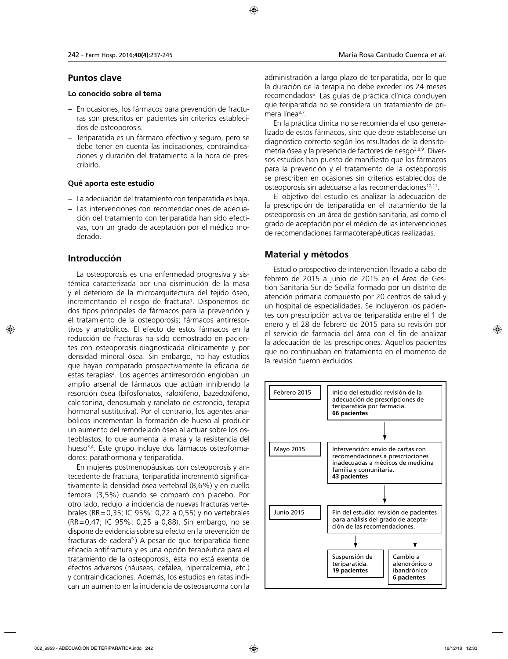## **Puntos clave**

#### **Lo conocido sobre el tema**

- − En ocasiones, los fármacos para prevención de fracturas son prescritos en pacientes sin criterios establecidos de osteoporosis.
- − Teriparatida es un fármaco efectivo y seguro, pero se debe tener en cuenta las indicaciones, contraindicaciones y duración del tratamiento a la hora de prescribirlo.

## **Qué aporta este estudio**

- − La adecuación del tratamiento con teriparatida es baja.
- − Las intervenciones con recomendaciones de adecuación del tratamiento con teriparatida han sido efectivas, con un grado de aceptación por el médico moderado.

## **Introducción**

La osteoporosis es una enfermedad progresiva y sistémica caracterizada por una disminución de la masa y el deterioro de la microarquitectura del tejido óseo, incrementando el riesgo de fractura<sup>1</sup>. Disponemos de dos tipos principales de fármacos para la prevención y el tratamiento de la osteoporosis; fármacos antirresortivos y anabólicos. El efecto de estos fármacos en la reducción de fracturas ha sido demostrado en pacientes con osteoporosis diagnosticada clínicamente y por densidad mineral ósea. Sin embargo, no hay estudios que hayan comparado prospectivamente la eficacia de estas terapias<sup>2</sup>. Los agentes antirresorción engloban un amplio arsenal de fármacos que actúan inhibiendo la resorción ósea (bifosfonatos, raloxifeno, bazedoxifeno, calcitonina, denosumab y ranelato de estroncio, terapia hormonal sustitutiva). Por el contrario, los agentes anabólicos incrementan la formación de hueso al producir un aumento del remodelado óseo al actuar sobre los osteoblastos, lo que aumenta la masa y la resistencia del hueso<sup>3,4</sup>. Este grupo incluye dos fármacos osteoformadores: parathormona y teriparatida.

En mujeres postmenopáusicas con osteoporosis y antecedente de fractura, teriparatida incrementó significativamente la densidad ósea vertebral (8,6%) y en cuello femoral (3,5%) cuando se comparó con placebo. Por otro lado, redujo la incidencia de nuevas fracturas vertebrales (RR=0,35; IC 95%: 0,22 a 0,55) y no vertebrales (RR=0,47; IC 95%: 0,25 a 0,88). Sin embargo, no se dispone de evidencia sobre su efecto en la prevención de fracturas de cadera<sup>5</sup>.) A pesar de que teriparatida tiene eficacia antifractura y es una opción terapéutica para el tratamiento de la osteoporosis, ésta no está exenta de efectos adversos (náuseas, cefalea, hipercalcemia, etc.) y contraindicaciones. Además, los estudios en ratas indican un aumento en la incidencia de osteosarcoma con la

administración a largo plazo de teriparatida, por lo que la duración de la terapia no debe exceder los 24 meses recomendados6 . Las guías de práctica clínica concluyen que teriparatida no se considera un tratamiento de primera línea<sup>3,7</sup>.

En la práctica clínica no se recomienda el uso generalizado de estos fármacos, sino que debe establecerse un diagnóstico correcto según los resultados de la densitometría ósea y la presencia de factores de riesgo<sup>3,8,9</sup>. Diversos estudios han puesto de manifiesto que los fármacos para la prevención y el tratamiento de la osteoporosis se prescriben en ocasiones sin criterios establecidos de osteoporosis sin adecuarse a las recomendaciones<sup>10,11</sup>.

El objetivo del estudio es analizar la adecuación de la prescripción de teriparatida en el tratamiento de la osteoporosis en un área de gestión sanitaria, así como el grado de aceptación por el médico de las intervenciones de recomendaciones farmacoterapéuticas realizadas.

## **Material y métodos**

Estudio prospectivo de intervención llevado a cabo de febrero de 2015 a junio de 2015 en el Área de Gestión Sanitaria Sur de Sevilla formado por un distrito de atención primaria compuesto por 20 centros de salud y un hospital de especialidades. Se incluyeron los pacientes con prescripción activa de teriparatida entre el 1 de enero y el 28 de febrero de 2015 para su revisión por el servicio de farmacia del área con el fin de analizar la adecuación de las prescripciones. Aquellos pacientes que no continuaban en tratamiento en el momento de la revisión fueron excluidos.

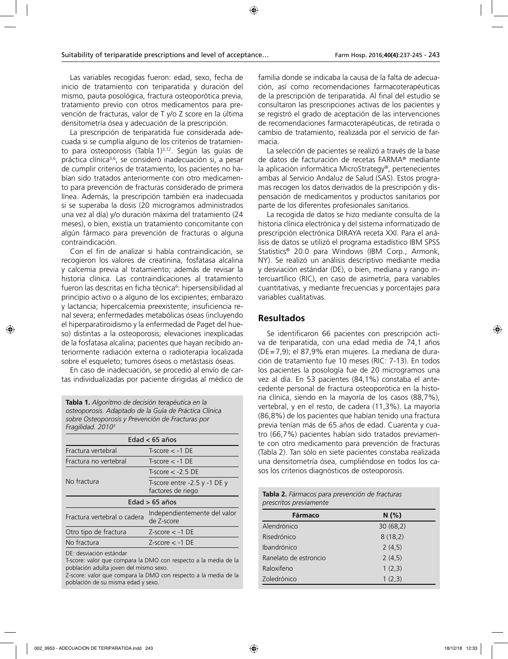Las variables recogidas fueron: edad, sexo, fecha de inicio de tratamiento con teriparatida y duración del mismo, pauta posológica, fractura osteoporótica previa, tratamiento previo con otros medicamentos para prevención de fracturas, valor de T y/o Z score en la última densitometría ósea y adecuación de la prescripción.

La prescripción de teriparatida fue considerada adecuada si se cumplía alguno de los criterios de tratamiento para osteoporosis (Tabla 1)<sup>3,12</sup>. Según las guías de práctica clínica<sup>3,6</sup>, se consideró inadecuación si, a pesar de cumplir criterios de tratamiento, los pacientes no habían sido tratados anteriormente con otro medicamento para prevención de fracturas considerado de primera línea. Además, la prescripción también era inadecuada si se superaba la dosis (20 microgramos administrados una vez al día) y/o duración máxima del tratamiento (24 meses), o bien, existía un tratamiento concomitante con algún fármaco para prevención de fracturas o alguna contraindicación.

Con el fin de analizar si había contraindicación, se recogieron los valores de creatinina, fosfatasa alcalina y calcemia previa al tratamiento; además de revisar la historia clínica. Las contraindicaciones al tratamiento fueron las descritas en ficha técnica<sup>6</sup>: hipersensibilidad al principio activo o a alguno de los excipientes; embarazo y lactancia; hipercalcemia preexistente; insuficiencia renal severa; enfermedades metabólicas óseas (incluyendo el hiperparatiroidismo y la enfermedad de Paget del hueso) distintas a la osteoporosis; elevaciones inexplicadas de la fosfatasa alcalina; pacientes que hayan recibido anteriormente radiación externa o radioterapia localizada sobre el esqueleto; tumores óseos o metástasis óseas.

En caso de inadecuación, se procedió al envío de cartas individualizadas por paciente dirigidas al médico de

**Tabla 1.** *Algoritmo de decisión terapéutica en la osteoporosis. Adaptado de la Guía de Práctica Clínica sobre Osteoporosis y Prevención de Fracturas por Fragilidad. 20103*

| Edad $<$ 65 años            |                                                       |  |
|-----------------------------|-------------------------------------------------------|--|
| Fractura vertebral          | $T-score < -1$ DF                                     |  |
| Fractura no vertebral       | $T-score < -1$ DE                                     |  |
|                             | $T-score < -2.5$ DE                                   |  |
| No fractura                 | T-score entre $-2.5$ y $-1$ DE y<br>factores de riego |  |
| Edad $> 65$ años            |                                                       |  |
| Fractura vertebral o cadera | Independientemente del valor<br>de Z-score            |  |
| Otro tipo de fractura       | $Z-score < -1$ DE                                     |  |
| No fractura                 | $Z-score < -1$ DE                                     |  |
|                             |                                                       |  |

DE: desviación estándar

T-score: valor que compara la DMO con respecto a la media de la población adulta joven del mismo sexo.

Z-score: valor que compara la DMO con respecto a la media de la población de su misma edad y sexo.

familia donde se indicaba la causa de la falta de adecuación, así como recomendaciones farmacoterapéuticas de la prescripción de teriparatida. Al final del estudio se consultaron las prescripciones activas de los pacientes y se registró el grado de aceptación de las intervenciones de recomendaciones farmacoterapéuticas, de retirada o cambio de tratamiento, realizada por el servicio de farmacia.

La selección de pacientes se realizó a través de la base de datos de facturación de recetas FARMA® mediante la aplicación informática MicroStrategy®, pertenecientes ambas al Servicio Andaluz de Salud (SAS). Estos programas recogen los datos derivados de la prescripción y dispensación de medicamentos y productos sanitarios por parte de los diferentes profesionales sanitarios.

La recogida de datos se hizo mediante consulta de la historia clínica electrónica y del sistema informatizado de prescripción electrónica DIRAYA receta XXI. Para el análisis de datos se utilizó el programa estadístico IBM SPSS Statistics® 20.0 para Windows (IBM Corp., Armonk, NY). Se realizó un análisis descriptivo mediante media y desviación estándar (DE), o bien, mediana y rango intercuartílico (RIC), en caso de asimetría, para variables cuantitativas, y mediante frecuencias y porcentajes para variables cualitativas.

## **Resultados**

Se identificaron 66 pacientes con prescripción activa de teriparatida, con una edad media de 74,1 años (DE=7,9); el 87,9% eran mujeres. La mediana de duración de tratamiento fue 10 meses (RIC: 7-13). En todos los pacientes la posología fue de 20 microgramos una vez al día. En 53 pacientes (84,1%) constaba el antecedente personal de fractura osteoporótica en la historia clínica, siendo en la mayoría de los casos (88,7%), vertebral, y en el resto, de cadera (11,3%). La mayoría (86,8%) de los pacientes que habían tenido una fractura previa tenían más de 65 años de edad. Cuarenta y cuatro (66,7%) pacientes habían sido tratados previamente con otro medicamento para prevención de fracturas (Tabla 2). Tan sólo en siete pacientes constaba realizada una densitometría ósea, cumpliéndose en todos los casos los criterios diagnósticos de osteoporosis.

| Tabla 2. Fármacos para prevención de fracturas |
|------------------------------------------------|
| prescritos previamente                         |

| Fármaco               | N(%)     |
|-----------------------|----------|
| Alendrónico           | 30(68,2) |
| Risedrónico           | 8(18,2)  |
| Ibandrónico           | 2(4,5)   |
| Ranelato de estroncio | 2(4,5)   |
| Raloxifeno            | 1(2,3)   |
| Zoledrónico           | 1(2,3)   |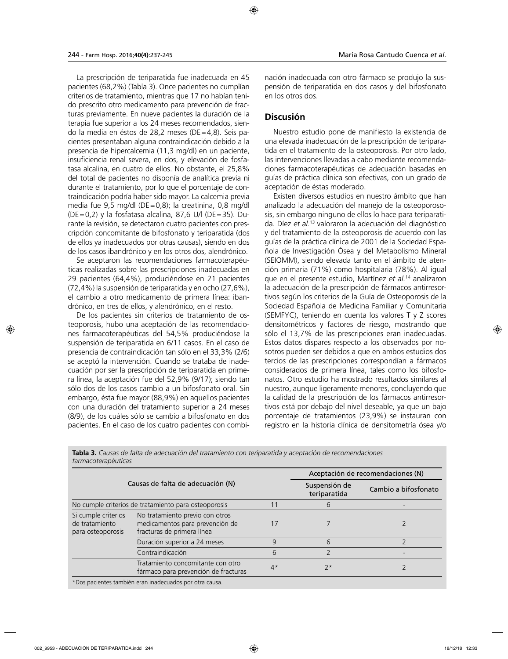La prescripción de teriparatida fue inadecuada en 45 pacientes (68,2%) (Tabla 3). Once pacientes no cumplían criterios de tratamiento, mientras que 17 no habían tenido prescrito otro medicamento para prevención de fracturas previamente. En nueve pacientes la duración de la terapia fue superior a los 24 meses recomendados, siendo la media en éstos de 28,2 meses (DE=4,8). Seis pacientes presentaban alguna contraindicación debido a la presencia de hipercalcemia (11,3 mg/dl) en un paciente, insuficiencia renal severa, en dos, y elevación de fosfatasa alcalina, en cuatro de ellos. No obstante, el 25,8% del total de pacientes no disponía de analítica previa ni durante el tratamiento, por lo que el porcentaje de contraindicación podría haber sido mayor. La calcemia previa media fue 9,5 mg/dl (DE=0,8); la creatinina, 0,8 mg/dl (DE=0,2) y la fosfatasa alcalina, 87,6 U/l (DE=35). Durante la revisión, se detectaron cuatro pacientes con prescripción concomitante de bifosfonato y teriparatida (dos de ellos ya inadecuados por otras causas), siendo en dos de los casos ibandrónico y en los otros dos, alendrónico.

Se aceptaron las recomendaciones farmacoterapéuticas realizadas sobre las prescripciones inadecuadas en 29 pacientes (64,4%), produciéndose en 21 pacientes (72,4%) la suspensión de teriparatida y en ocho (27,6%), el cambio a otro medicamento de primera línea: ibandrónico, en tres de ellos, y alendrónico, en el resto.

De los pacientes sin criterios de tratamiento de osteoporosis, hubo una aceptación de las recomendaciones farmacoterapéuticas del 54,5% produciéndose la suspensión de teriparatida en 6/11 casos. En el caso de presencia de contraindicación tan sólo en el 33,3% (2/6) se aceptó la intervención. Cuando se trataba de inadecuación por ser la prescripción de teriparatida en primera línea, la aceptación fue del 52,9% (9/17); siendo tan sólo dos de los casos cambio a un bifosfonato oral. Sin embargo, ésta fue mayor (88,9%) en aquellos pacientes con una duración del tratamiento superior a 24 meses (8/9), de los cuáles sólo se cambio a bifosfonato en dos pacientes. En el caso de los cuatro pacientes con combinación inadecuada con otro fármaco se produjo la suspensión de teriparatida en dos casos y del bifosfonato en los otros dos.

## **Discusión**

Nuestro estudio pone de manifiesto la existencia de una elevada inadecuación de la prescripción de teriparatida en el tratamiento de la osteoporosis. Por otro lado, las intervenciones llevadas a cabo mediante recomendaciones farmacoterapéuticas de adecuación basadas en guías de práctica clínica son efectivas, con un grado de aceptación de éstas moderado.

Existen diversos estudios en nuestro ámbito que han analizado la adecuación del manejo de la osteoporososis, sin embargo ninguno de ellos lo hace para teriparatida. Díez *et al.*13 valoraron la adecuación del diagnóstico y del tratamiento de la osteoporosis de acuerdo con las guías de la práctica clínica de 2001 de la Sociedad Española de Investigación Ósea y del Metabolismo Mineral (SEIOMM), siendo elevada tanto en el ámbito de atención primaria (71%) como hospitalaria (78%). Al igual que en el presente estudio, Martínez *et al.*14 analizaron la adecuación de la prescripción de fármacos antirresortivos según los criterios de la Guía de Osteoporosis de la Sociedad Española de Medicina Familiar y Comunitaria (SEMFYC), teniendo en cuenta los valores T y Z scores densitométricos y factores de riesgo, mostrando que sólo el 13,7% de las prescripciones eran inadecuadas. Estos datos dispares respecto a los observados por nosotros pueden ser debidos a que en ambos estudios dos tercios de las prescripciones correspondían a fármacos considerados de primera línea, tales como los bifosfonatos. Otro estudio ha mostrado resultados similares al nuestro, aunque ligeramente menores, concluyendo que la calidad de la prescripción de los fármacos antirresortivos está por debajo del nivel deseable, ya que un bajo porcentaje de tratamientos (23,9%) se instauran con registro en la historia clínica de densitometría ósea y/o

|                                                            |                                                                                                                 |                               | Aceptación de recomendaciones (N) |  |
|------------------------------------------------------------|-----------------------------------------------------------------------------------------------------------------|-------------------------------|-----------------------------------|--|
| Causas de falta de adecuación (N)                          |                                                                                                                 | Suspensión de<br>teriparatida | Cambio a bifosfonato              |  |
|                                                            | No cumple criterios de tratamiento para osteoporosis                                                            |                               | b                                 |  |
| Si cumple criterios<br>de tratamiento<br>para osteoporosis | No tratamiento previo con otros<br>medicamentos para prevención de<br>fracturas de primera línea                |                               |                                   |  |
|                                                            | Duración superior a 24 meses                                                                                    | g                             | 6                                 |  |
|                                                            | Contraindicación                                                                                                | 6                             |                                   |  |
|                                                            | Tratamiento concomitante con otro<br>fármaco para prevención de fracturas                                       | $4*$                          | $7*$                              |  |
|                                                            | the contract of the contract of the contract of the contract of the contract of the contract of the contract of |                               |                                   |  |

**Tabla 3.** *Causas de falta de adecuación del tratamiento con teriparatida y aceptación de recomendaciones farmacoterapéuticas*

\*Dos pacientes también eran inadecuados por otra causa.